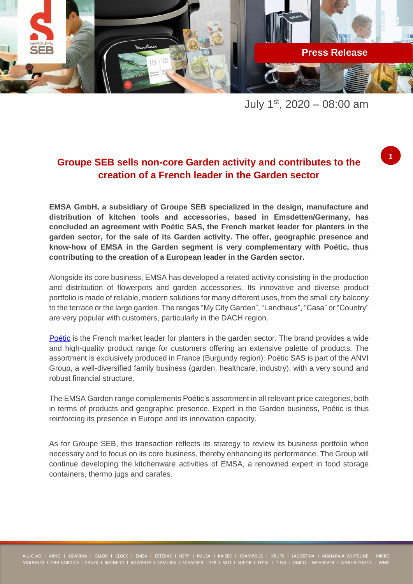

July  $1^{st}$ , 2020 – 08:00 am

**1**

# **Groupe SEB sells non-core Garden activity and contributes to the creation of a French leader in the Garden sector**

**EMSA GmbH, a subsidiary of Groupe SEB specialized in the design, manufacture and distribution of kitchen tools and accessories, based in Emsdetten/Germany, has concluded an agreement with Poétic SAS, the French market leader for planters in the garden sector, for the sale of its Garden activity. The offer, geographic presence and know-how of EMSA in the Garden segment is very complementary with Poétic, thus contributing to the creation of a European leader in the Garden sector.**

Alongside its core business, EMSA has developed a related activity consisting in the production and distribution of flowerpots and garden accessories. Its innovative and diverse product portfolio is made of reliable, modern solutions for many different uses, from the small city balcony to the terrace or the large garden. The ranges "My City Garden", "Landhaus", "Casa" or "Country" are very popular with customers, particularly in the DACH region.

[Poétic](https://www.poetic-jardin.fr/en/) is the French market leader for planters in the garden sector. The brand provides a wide and high-quality product range for customers offering an extensive palette of products. The assortment is exclusively produced in France (Burgundy region). Poétic SAS is part of the ANVI Group, a well-diversified family business (garden, healthcare, industry), with a very sound and robust financial structure.

The EMSA Garden range complements Poétic's assortment in all relevant price categories, both in terms of products and geographic presence. Expert in the Garden business, Poétic is thus reinforcing its presence in Europe and its innovation capacity.

As for Groupe SEB, this transaction reflects its strategy to review its business portfolio when necessary and to focus on its core business, thereby enhancing its performance. The Group will continue developing the kitchenware activities of EMSA, a renowned expert in food storage containers, thermo jugs and carafes.

MOULINEX I OBH NORDICA I PANEX I ROCHEDO I ROWENTA I SAMURAI I SCHAERER I SEB I SILIT I SUPOR I TEFAL I T-FAL I UMCO I WEAREVER I WILBUR CURTIS | WMF